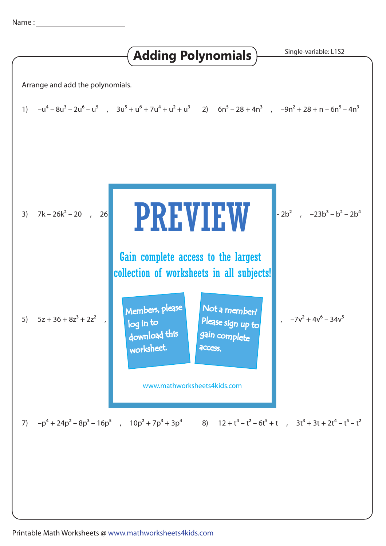